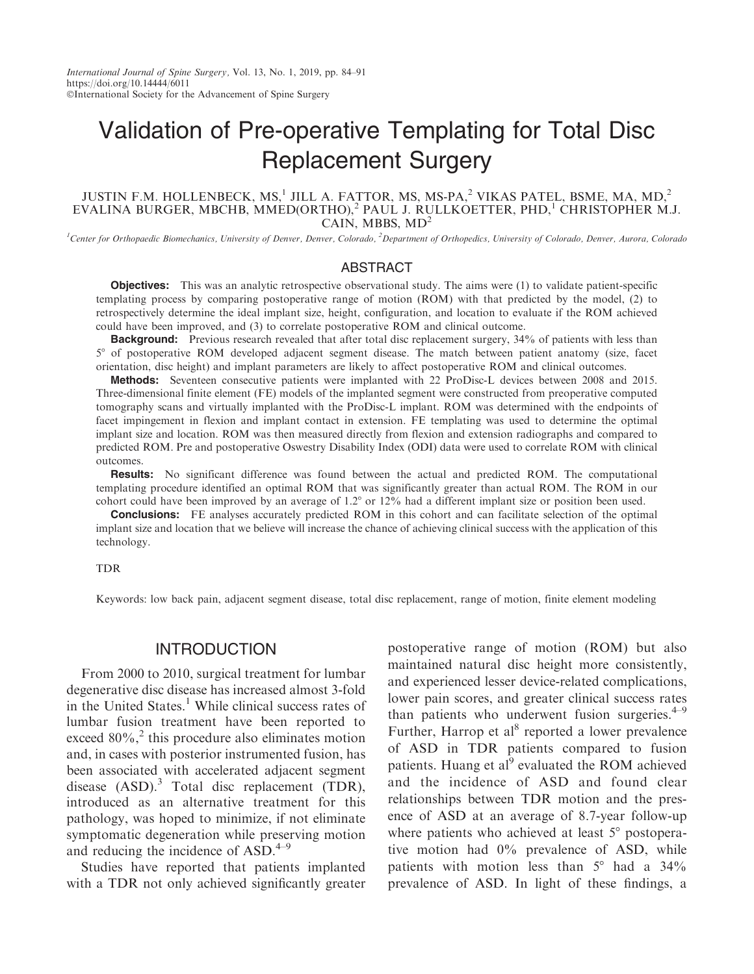# Validation of Pre-operative Templating for Total Disc Replacement Surgery

### JUSTIN F.M. HOLLENBECK, MS,<sup>1</sup> JILL A. FATTOR, MS, MS-PA,<sup>2</sup> VIKAS PATEL, BSME, MA, MD,<sup>2</sup> EVALINA BURGER, MBCHB, MMED(ORTHO),<sup>2</sup> PAUL J. RULLKOETTER, PHD,<sup>1</sup> CHRISTOPHER M.J. CAIN, MBBS,  $MD<sup>2</sup>$

<sup>1</sup>Center for Orthopaedic Biomechanics, University of Denver, Denver, Colorado, <sup>2</sup>Department of Orthopedics, University of Colorado, Denver, Aurora, Colorado

#### ABSTRACT

**Objectives:** This was an analytic retrospective observational study. The aims were (1) to validate patient-specific templating process by comparing postoperative range of motion (ROM) with that predicted by the model, (2) to retrospectively determine the ideal implant size, height, configuration, and location to evaluate if the ROM achieved could have been improved, and (3) to correlate postoperative ROM and clinical outcome.

**Background:** Previous research revealed that after total disc replacement surgery, 34% of patients with less than 5° of postoperative ROM developed adjacent segment disease. The match between patient anatomy (size, facet orientation, disc height) and implant parameters are likely to affect postoperative ROM and clinical outcomes.

Methods: Seventeen consecutive patients were implanted with 22 ProDisc-L devices between 2008 and 2015. Three-dimensional finite element (FE) models of the implanted segment were constructed from preoperative computed tomography scans and virtually implanted with the ProDisc-L implant. ROM was determined with the endpoints of facet impingement in flexion and implant contact in extension. FE templating was used to determine the optimal implant size and location. ROM was then measured directly from flexion and extension radiographs and compared to predicted ROM. Pre and postoperative Oswestry Disability Index (ODI) data were used to correlate ROM with clinical outcomes.

Results: No significant difference was found between the actual and predicted ROM. The computational templating procedure identified an optimal ROM that was significantly greater than actual ROM. The ROM in our cohort could have been improved by an average of  $1.2^{\circ}$  or  $12\%$  had a different implant size or position been used.

**Conclusions:** FE analyses accurately predicted ROM in this cohort and can facilitate selection of the optimal implant size and location that we believe will increase the chance of achieving clinical success with the application of this technology.

#### TDR

Keywords: low back pain, adjacent segment disease, total disc replacement, range of motion, finite element modeling

# INTRODUCTION

From 2000 to 2010, surgical treatment for lumbar degenerative disc disease has increased almost 3-fold in the United States.<sup>1</sup> While clinical success rates of lumbar fusion treatment have been reported to exceed  $80\%$ ,<sup>2</sup> this procedure also eliminates motion and, in cases with posterior instrumented fusion, has been associated with accelerated adjacent segment disease  $(ASD).$ <sup>3</sup> Total disc replacement  $(TDR)$ , introduced as an alternative treatment for this pathology, was hoped to minimize, if not eliminate symptomatic degeneration while preserving motion and reducing the incidence of  $ASD.<sup>4-9</sup>$ 

Studies have reported that patients implanted with a TDR not only achieved significantly greater postoperative range of motion (ROM) but also maintained natural disc height more consistently, and experienced lesser device-related complications, lower pain scores, and greater clinical success rates than patients who underwent fusion surgeries. $4-9$ Further, Harrop et al<sup>8</sup> reported a lower prevalence of ASD in TDR patients compared to fusion patients. Huang et al<sup>9</sup> evaluated the ROM achieved and the incidence of ASD and found clear relationships between TDR motion and the presence of ASD at an average of 8.7-year follow-up where patients who achieved at least  $5^{\circ}$  postoperative motion had 0% prevalence of ASD, while patients with motion less than  $5^\circ$  had a  $34\%$ prevalence of ASD. In light of these findings, a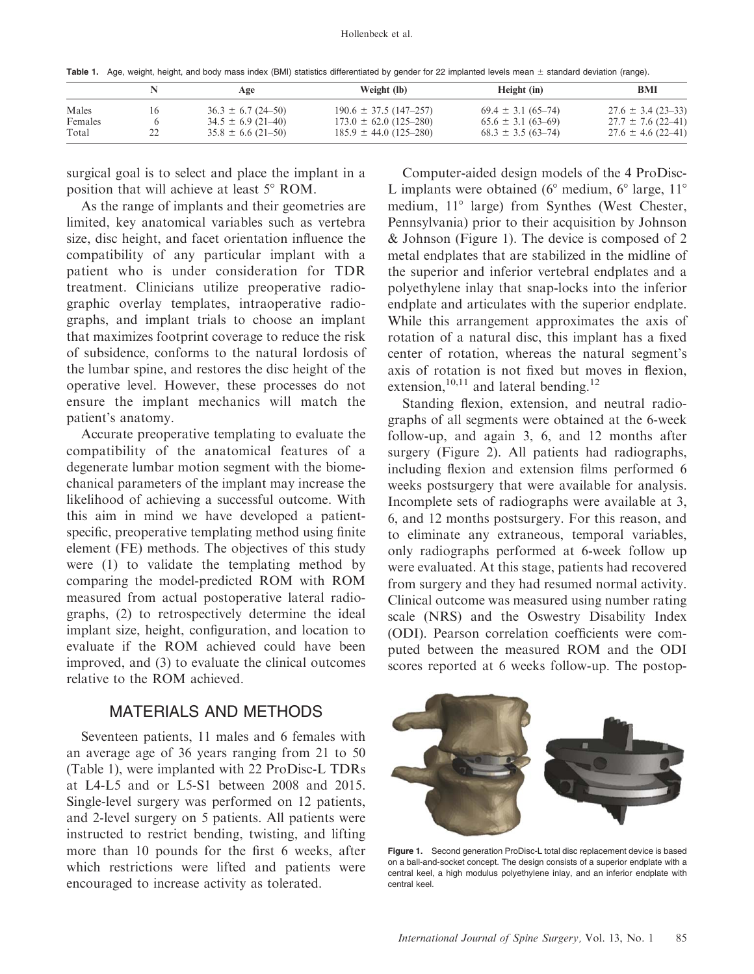Table 1. Age, weight, height, and body mass index (BMI) statistics differentiated by gender for 22 implanted levels mean  $\pm$  standard deviation (range).

|         | Age                      | Weight (lb)                | Height (in)              | BMI                    |  |
|---------|--------------------------|----------------------------|--------------------------|------------------------|--|
| Males   | $36.3 \pm 6.7 (24 - 50)$ | $190.6 \pm 37.5$ (147-257) | $69.4 \pm 3.1$ (65-74)   | $27.6 \pm 3.4$ (23-33) |  |
| Females | $34.5 \pm 6.9$ (21-40)   | $173.0 \pm 62.0$ (125–280) | $65.6 \pm 3.1 (63 - 69)$ | $27.7 \pm 7.6$ (22-41) |  |
| Total   | $35.8 \pm 6.6$ (21-50)   | $185.9 \pm 44.0$ (125–280) | $68.3 \pm 3.5(63 - 74)$  | $27.6 \pm 4.6$ (22-41) |  |

surgical goal is to select and place the implant in a position that will achieve at least 5° ROM.

As the range of implants and their geometries are limited, key anatomical variables such as vertebra size, disc height, and facet orientation influence the compatibility of any particular implant with a patient who is under consideration for TDR treatment. Clinicians utilize preoperative radiographic overlay templates, intraoperative radiographs, and implant trials to choose an implant that maximizes footprint coverage to reduce the risk of subsidence, conforms to the natural lordosis of the lumbar spine, and restores the disc height of the operative level. However, these processes do not ensure the implant mechanics will match the patient's anatomy.

Accurate preoperative templating to evaluate the compatibility of the anatomical features of a degenerate lumbar motion segment with the biomechanical parameters of the implant may increase the likelihood of achieving a successful outcome. With this aim in mind we have developed a patientspecific, preoperative templating method using finite element (FE) methods. The objectives of this study were (1) to validate the templating method by comparing the model-predicted ROM with ROM measured from actual postoperative lateral radiographs, (2) to retrospectively determine the ideal implant size, height, configuration, and location to evaluate if the ROM achieved could have been improved, and (3) to evaluate the clinical outcomes relative to the ROM achieved.

# MATERIALS AND METHODS

Seventeen patients, 11 males and 6 females with an average age of 36 years ranging from 21 to 50 (Table 1), were implanted with 22 ProDisc-L TDRs at L4-L5 and or L5-S1 between 2008 and 2015. Single-level surgery was performed on 12 patients, and 2-level surgery on 5 patients. All patients were instructed to restrict bending, twisting, and lifting more than 10 pounds for the first 6 weeks, after which restrictions were lifted and patients were encouraged to increase activity as tolerated.

Computer-aided design models of the 4 ProDisc-L implants were obtained ( $6^{\circ}$  medium,  $6^{\circ}$  large,  $11^{\circ}$ medium, 11° large) from Synthes (West Chester, Pennsylvania) prior to their acquisition by Johnson & Johnson (Figure 1). The device is composed of 2 metal endplates that are stabilized in the midline of the superior and inferior vertebral endplates and a polyethylene inlay that snap-locks into the inferior endplate and articulates with the superior endplate. While this arrangement approximates the axis of rotation of a natural disc, this implant has a fixed center of rotation, whereas the natural segment's axis of rotation is not fixed but moves in flexion, extension,<sup>10,11</sup> and lateral bending.<sup>12</sup>

Standing flexion, extension, and neutral radiographs of all segments were obtained at the 6-week follow-up, and again 3, 6, and 12 months after surgery (Figure 2). All patients had radiographs, including flexion and extension films performed 6 weeks postsurgery that were available for analysis. Incomplete sets of radiographs were available at 3, 6, and 12 months postsurgery. For this reason, and to eliminate any extraneous, temporal variables, only radiographs performed at 6-week follow up were evaluated. At this stage, patients had recovered from surgery and they had resumed normal activity. Clinical outcome was measured using number rating scale (NRS) and the Oswestry Disability Index (ODI). Pearson correlation coefficients were computed between the measured ROM and the ODI scores reported at 6 weeks follow-up. The postop-



Figure 1. Second generation ProDisc-L total disc replacement device is based on a ball-and-socket concept. The design consists of a superior endplate with a central keel, a high modulus polyethylene inlay, and an inferior endplate with central keel.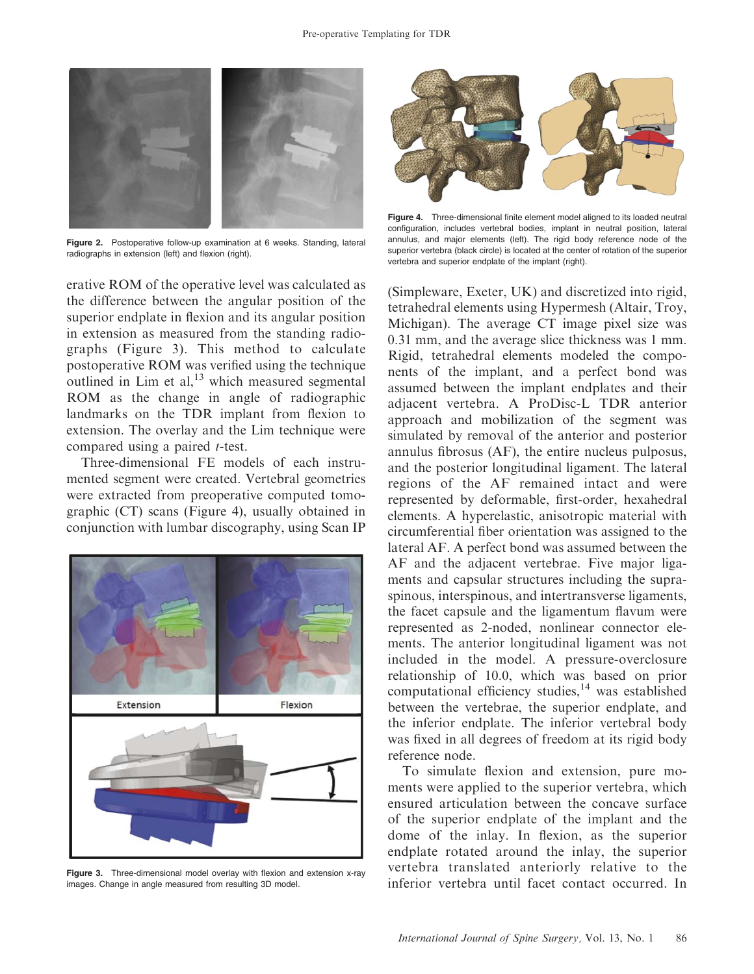

Figure 2. Postoperative follow-up examination at 6 weeks. Standing, lateral radiographs in extension (left) and flexion (right).

erative ROM of the operative level was calculated as the difference between the angular position of the superior endplate in flexion and its angular position in extension as measured from the standing radiographs (Figure 3). This method to calculate postoperative ROM was verified using the technique outlined in Lim et al, $^{13}$  which measured segmental ROM as the change in angle of radiographic landmarks on the TDR implant from flexion to extension. The overlay and the Lim technique were compared using a paired t-test.

Three-dimensional FE models of each instrumented segment were created. Vertebral geometries were extracted from preoperative computed tomographic (CT) scans (Figure 4), usually obtained in conjunction with lumbar discography, using Scan IP



Figure 3. Three-dimensional model overlay with flexion and extension x-ray images. Change in angle measured from resulting 3D model.



Figure 4. Three-dimensional finite element model aligned to its loaded neutral configuration, includes vertebral bodies, implant in neutral position, lateral annulus, and major elements (left). The rigid body reference node of the superior vertebra (black circle) is located at the center of rotation of the superior vertebra and superior endplate of the implant (right).

(Simpleware, Exeter, UK) and discretized into rigid, tetrahedral elements using Hypermesh (Altair, Troy, Michigan). The average CT image pixel size was 0.31 mm, and the average slice thickness was 1 mm. Rigid, tetrahedral elements modeled the components of the implant, and a perfect bond was assumed between the implant endplates and their adjacent vertebra. A ProDisc-L TDR anterior approach and mobilization of the segment was simulated by removal of the anterior and posterior annulus fibrosus (AF), the entire nucleus pulposus, and the posterior longitudinal ligament. The lateral regions of the AF remained intact and were represented by deformable, first-order, hexahedral elements. A hyperelastic, anisotropic material with circumferential fiber orientation was assigned to the lateral AF. A perfect bond was assumed between the AF and the adjacent vertebrae. Five major ligaments and capsular structures including the supraspinous, interspinous, and intertransverse ligaments, the facet capsule and the ligamentum flavum were represented as 2-noded, nonlinear connector elements. The anterior longitudinal ligament was not included in the model. A pressure-overclosure relationship of 10.0, which was based on prior computational efficiency studies,<sup>14</sup> was established between the vertebrae, the superior endplate, and the inferior endplate. The inferior vertebral body was fixed in all degrees of freedom at its rigid body reference node.

To simulate flexion and extension, pure moments were applied to the superior vertebra, which ensured articulation between the concave surface of the superior endplate of the implant and the dome of the inlay. In flexion, as the superior endplate rotated around the inlay, the superior vertebra translated anteriorly relative to the inferior vertebra until facet contact occurred. In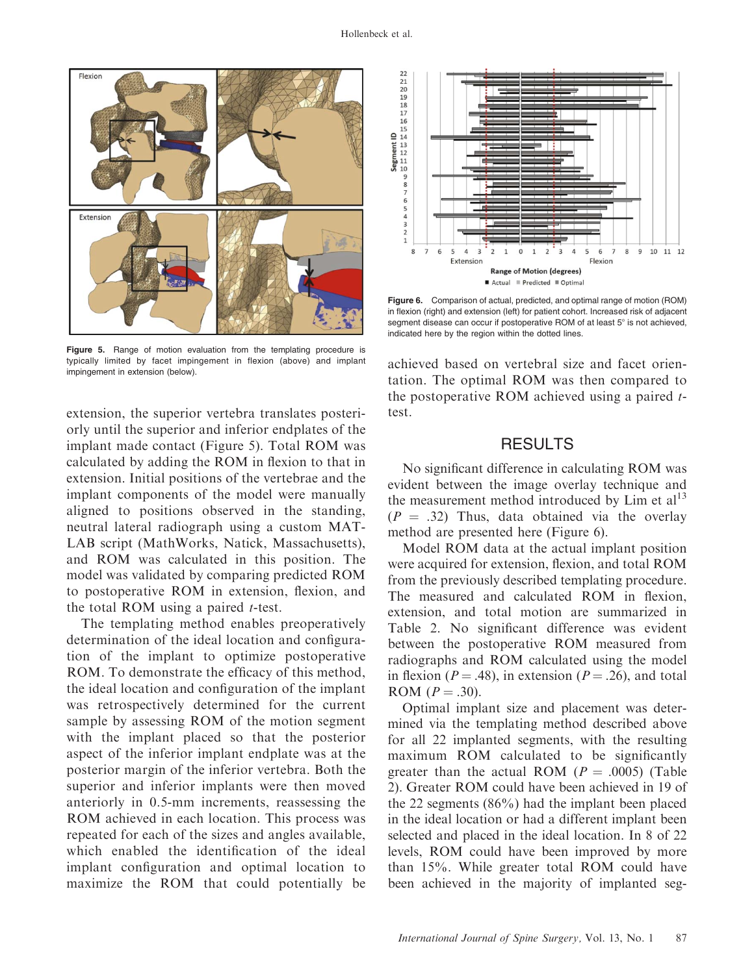

Figure 5. Range of motion evaluation from the templating procedure is typically limited by facet impingement in flexion (above) and implant impingement in extension (below).

extension, the superior vertebra translates posteriorly until the superior and inferior endplates of the implant made contact (Figure 5). Total ROM was calculated by adding the ROM in flexion to that in extension. Initial positions of the vertebrae and the implant components of the model were manually aligned to positions observed in the standing, neutral lateral radiograph using a custom MAT-LAB script (MathWorks, Natick, Massachusetts), and ROM was calculated in this position. The model was validated by comparing predicted ROM to postoperative ROM in extension, flexion, and the total ROM using a paired  $t$ -test.

The templating method enables preoperatively determination of the ideal location and configuration of the implant to optimize postoperative ROM. To demonstrate the efficacy of this method, the ideal location and configuration of the implant was retrospectively determined for the current sample by assessing ROM of the motion segment with the implant placed so that the posterior aspect of the inferior implant endplate was at the posterior margin of the inferior vertebra. Both the superior and inferior implants were then moved anteriorly in 0.5-mm increments, reassessing the ROM achieved in each location. This process was repeated for each of the sizes and angles available, which enabled the identification of the ideal implant configuration and optimal location to maximize the ROM that could potentially be



Figure 6. Comparison of actual, predicted, and optimal range of motion (ROM) in flexion (right) and extension (left) for patient cohort. Increased risk of adjacent segment disease can occur if postoperative ROM of at least  $5^\circ$  is not achieved. indicated here by the region within the dotted lines.

achieved based on vertebral size and facet orientation. The optimal ROM was then compared to the postoperative ROM achieved using a paired  $t$ test.

## RESULTS

No significant difference in calculating ROM was evident between the image overlay technique and the measurement method introduced by  $\text{Lim}$  et al<sup>13</sup>  $(P = .32)$  Thus, data obtained via the overlay method are presented here (Figure 6).

Model ROM data at the actual implant position were acquired for extension, flexion, and total ROM from the previously described templating procedure. The measured and calculated ROM in flexion, extension, and total motion are summarized in Table 2. No significant difference was evident between the postoperative ROM measured from radiographs and ROM calculated using the model in flexion ( $P = .48$ ), in extension ( $P = .26$ ), and total ROM  $(P = .30)$ .

Optimal implant size and placement was determined via the templating method described above for all 22 implanted segments, with the resulting maximum ROM calculated to be significantly greater than the actual ROM ( $P = .0005$ ) (Table 2). Greater ROM could have been achieved in 19 of the 22 segments (86%) had the implant been placed in the ideal location or had a different implant been selected and placed in the ideal location. In 8 of 22 levels, ROM could have been improved by more than 15%. While greater total ROM could have been achieved in the majority of implanted seg-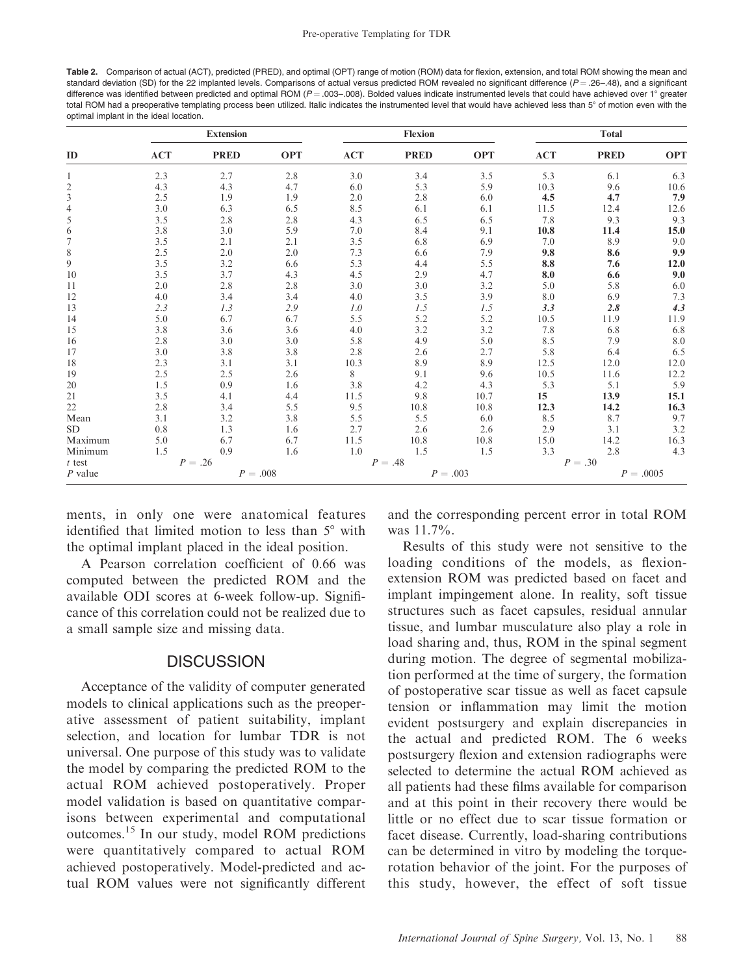Table 2. Comparison of actual (ACT), predicted (PRED), and optimal (OPT) range of motion (ROM) data for flexion, extension, and total ROM showing the mean and standard deviation (SD) for the 22 implanted levels. Comparisons of actual versus predicted ROM revealed no significant difference ( $P = .26-.48$ ), and a significant difference was identified between predicted and optimal ROM ( $P = .003-.008$ ). Bolded values indicate instrumented levels that could have achieved over 1° greater total ROM had a preoperative templating process been utilized. Italic indicates the instrumented level that would have achieved less than 5° of motion even with the optimal implant in the ideal location.

| ID                       | <b>Extension</b> |             |            | <b>Flexion</b> |             |            | <b>Total</b> |             |            |
|--------------------------|------------------|-------------|------------|----------------|-------------|------------|--------------|-------------|------------|
|                          | <b>ACT</b>       | <b>PRED</b> | <b>OPT</b> | <b>ACT</b>     | <b>PRED</b> | <b>OPT</b> | <b>ACT</b>   | <b>PRED</b> | <b>OPT</b> |
|                          | 2.3              | 2.7         | 2.8        | 3.0            | 3.4         | 3.5        | 5.3          | 6.1         | 6.3        |
| $\overline{c}$           | 4.3              | 4.3         | 4.7        | 6.0            | 5.3         | 5.9        | 10.3         | 9.6         | 10.6       |
| $\overline{3}$           | 2.5              | 1.9         | 1.9        | 2.0            | 2.8         | 6.0        | 4.5          | 4.7         | 7.9        |
| $\overline{\mathcal{L}}$ | 3.0              | 6.3         | 6.5        | 8.5            | 6.1         | 6.1        | 11.5         | 12.4        | 12.6       |
| 5                        | 3.5              | 2.8         | 2.8        | 4.3            | 6.5         | 6.5        | 7.8          | 9.3         | 9.3        |
| 6                        | 3.8              | 3.0         | 5.9        | 7.0            | 8.4         | 9.1        | 10.8         | 11.4        | 15.0       |
| 7                        | 3.5              | 2.1         | 2.1        | 3.5            | 6.8         | 6.9        | 7.0          | 8.9         | 9.0        |
| 8                        | 2.5              | 2.0         | 2.0        | 7.3            | 6.6         | 7.9        | 9.8          | 8.6         | 9.9        |
| 9                        | 3.5              | 3.2         | 6.6        | 5.3            | 4.4         | 5.5        | 8.8          | 7.6         | 12.0       |
| 10                       | 3.5              | 3.7         | 4.3        | 4.5            | 2.9         | 4.7        | 8.0          | 6.6         | 9.0        |
| 11                       | 2.0              | 2.8         | 2.8        | 3.0            | 3.0         | 3.2        | 5.0          | 5.8         | 6.0        |
| 12                       | 4.0              | 3.4         | 3.4        | 4.0            | 3.5         | 3.9        | 8.0          | 6.9         | 7.3        |
| 13                       | 2.3              | 1.3         | 2.9        | 1.0            | 1.5         | 1.5        | 3.3          | 2.8         | 4.3        |
| 14                       | 5.0              | 6.7         | 6.7        | 5.5            | 5.2         | 5.2        | 10.5         | 11.9        | 11.9       |
| 15                       | 3.8              | 3.6         | 3.6        | 4.0            | 3.2         | 3.2        | 7.8          | 6.8         | 6.8        |
| 16                       | 2.8              | 3.0         | 3.0        | 5.8            | 4.9         | 5.0        | 8.5          | 7.9         | 8.0        |
| 17                       | 3.0              | 3.8         | 3.8        | 2.8            | 2.6         | 2.7        | 5.8          | 6.4         | 6.5        |
| 18                       | 2.3              | 3.1         | 3.1        | 10.3           | 8.9         | 8.9        | 12.5         | 12.0        | 12.0       |
| 19                       | 2.5              | 2.5         | 2.6        | 8              | 9.1         | 9.6        | 10.5         | 11.6        | 12.2       |
| 20                       | 1.5              | 0.9         | 1.6        | 3.8            | 4.2         | 4.3        | 5.3          | 5.1         | 5.9        |
| $21\,$                   | 3.5              | 4.1         | 4.4        | 11.5           | 9.8         | 10.7       | 15           | 13.9        | 15.1       |
| $22\,$                   | 2.8              | 3.4         | 5.5        | 9.5            | 10.8        | 10.8       | 12.3         | 14.2        | 16.3       |
| Mean                     | 3.1              | 3.2         | 3.8        | 5.5            | 5.5         | 6.0        | 8.5          | 8.7         | 9.7        |
| <b>SD</b>                | 0.8              | 1.3         | 1.6        | 2.7            | 2.6         | 2.6        | 2.9          | 3.1         | 3.2        |
| Maximum                  | 5.0              | 6.7         | 6.7        | 11.5           | 10.8        | 10.8       | 15.0         | 14.2        | 16.3       |
| Minimum                  | 1.5              | 0.9         | 1.6        | 1.0            | 1.5         | 1.5        | 3.3          | 2.8         | 4.3        |
| $t$ test                 | $P = .26$        |             |            | $P=.48$        |             |            | $P = .30$    |             |            |
| $P$ value                | $P = .008$       |             |            | $P = .003$     |             |            | $P = .0005$  |             |            |

ments, in only one were anatomical features identified that limited motion to less than  $5^\circ$  with the optimal implant placed in the ideal position.

A Pearson correlation coefficient of 0.66 was computed between the predicted ROM and the available ODI scores at 6-week follow-up. Significance of this correlation could not be realized due to a small sample size and missing data.

## **DISCUSSION**

Acceptance of the validity of computer generated models to clinical applications such as the preoperative assessment of patient suitability, implant selection, and location for lumbar TDR is not universal. One purpose of this study was to validate the model by comparing the predicted ROM to the actual ROM achieved postoperatively. Proper model validation is based on quantitative comparisons between experimental and computational outcomes.15 In our study, model ROM predictions were quantitatively compared to actual ROM achieved postoperatively. Model-predicted and actual ROM values were not significantly different and the corresponding percent error in total ROM was 11.7%.

Results of this study were not sensitive to the loading conditions of the models, as flexionextension ROM was predicted based on facet and implant impingement alone. In reality, soft tissue structures such as facet capsules, residual annular tissue, and lumbar musculature also play a role in load sharing and, thus, ROM in the spinal segment during motion. The degree of segmental mobilization performed at the time of surgery, the formation of postoperative scar tissue as well as facet capsule tension or inflammation may limit the motion evident postsurgery and explain discrepancies in the actual and predicted ROM. The 6 weeks postsurgery flexion and extension radiographs were selected to determine the actual ROM achieved as all patients had these films available for comparison and at this point in their recovery there would be little or no effect due to scar tissue formation or facet disease. Currently, load-sharing contributions can be determined in vitro by modeling the torquerotation behavior of the joint. For the purposes of this study, however, the effect of soft tissue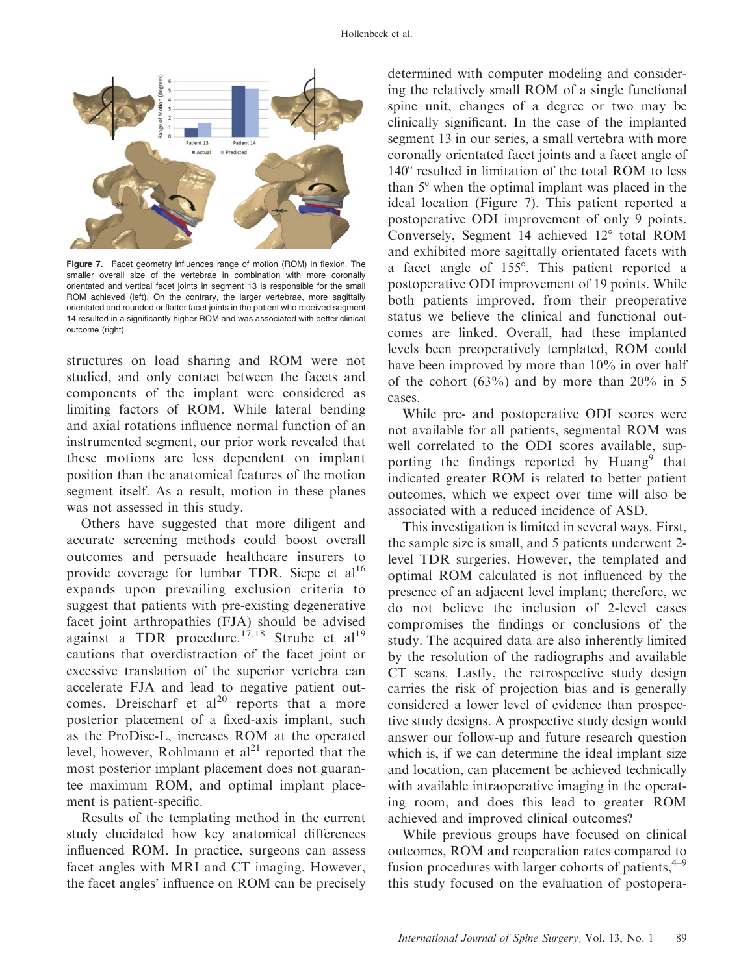

Figure 7. Facet geometry influences range of motion (ROM) in flexion. The smaller overall size of the vertebrae in combination with more coronally orientated and vertical facet joints in segment 13 is responsible for the small ROM achieved (left). On the contrary, the larger vertebrae, more sagittally orientated and rounded or flatter facet joints in the patient who received segment 14 resulted in a significantly higher ROM and was associated with better clinical outcome (right).

structures on load sharing and ROM were not studied, and only contact between the facets and components of the implant were considered as limiting factors of ROM. While lateral bending and axial rotations influence normal function of an instrumented segment, our prior work revealed that these motions are less dependent on implant position than the anatomical features of the motion segment itself. As a result, motion in these planes was not assessed in this study.

Others have suggested that more diligent and accurate screening methods could boost overall outcomes and persuade healthcare insurers to provide coverage for lumbar TDR. Siepe et al<sup>16</sup> expands upon prevailing exclusion criteria to suggest that patients with pre-existing degenerative facet joint arthropathies (FJA) should be advised against a TDR procedure.<sup>17,18</sup> Strube et al<sup>19</sup> cautions that overdistraction of the facet joint or excessive translation of the superior vertebra can accelerate FJA and lead to negative patient outcomes. Dreischarf et  $al^{20}$  reports that a more posterior placement of a fixed-axis implant, such as the ProDisc-L, increases ROM at the operated level, however, Rohlmann et  $al<sup>21</sup>$  reported that the most posterior implant placement does not guarantee maximum ROM, and optimal implant placement is patient-specific.

Results of the templating method in the current study elucidated how key anatomical differences influenced ROM. In practice, surgeons can assess facet angles with MRI and CT imaging. However, the facet angles' influence on ROM can be precisely determined with computer modeling and considering the relatively small ROM of a single functional spine unit, changes of a degree or two may be clinically significant. In the case of the implanted segment 13 in our series, a small vertebra with more coronally orientated facet joints and a facet angle of 140° resulted in limitation of the total ROM to less than  $5^\circ$  when the optimal implant was placed in the ideal location (Figure 7). This patient reported a postoperative ODI improvement of only 9 points. Conversely, Segment 14 achieved  $12^{\circ}$  total ROM and exhibited more sagittally orientated facets with a facet angle of 155°. This patient reported a postoperative ODI improvement of 19 points. While both patients improved, from their preoperative status we believe the clinical and functional outcomes are linked. Overall, had these implanted levels been preoperatively templated, ROM could have been improved by more than 10% in over half of the cohort  $(63\%)$  and by more than  $20\%$  in 5 cases.

While pre- and postoperative ODI scores were not available for all patients, segmental ROM was well correlated to the ODI scores available, supporting the findings reported by Huang<sup>9</sup> that indicated greater ROM is related to better patient outcomes, which we expect over time will also be associated with a reduced incidence of ASD.

This investigation is limited in several ways. First, the sample size is small, and 5 patients underwent 2 level TDR surgeries. However, the templated and optimal ROM calculated is not influenced by the presence of an adjacent level implant; therefore, we do not believe the inclusion of 2-level cases compromises the findings or conclusions of the study. The acquired data are also inherently limited by the resolution of the radiographs and available CT scans. Lastly, the retrospective study design carries the risk of projection bias and is generally considered a lower level of evidence than prospective study designs. A prospective study design would answer our follow-up and future research question which is, if we can determine the ideal implant size and location, can placement be achieved technically with available intraoperative imaging in the operating room, and does this lead to greater ROM achieved and improved clinical outcomes?

While previous groups have focused on clinical outcomes, ROM and reoperation rates compared to fusion procedures with larger cohorts of patients,  $4-9$ this study focused on the evaluation of postopera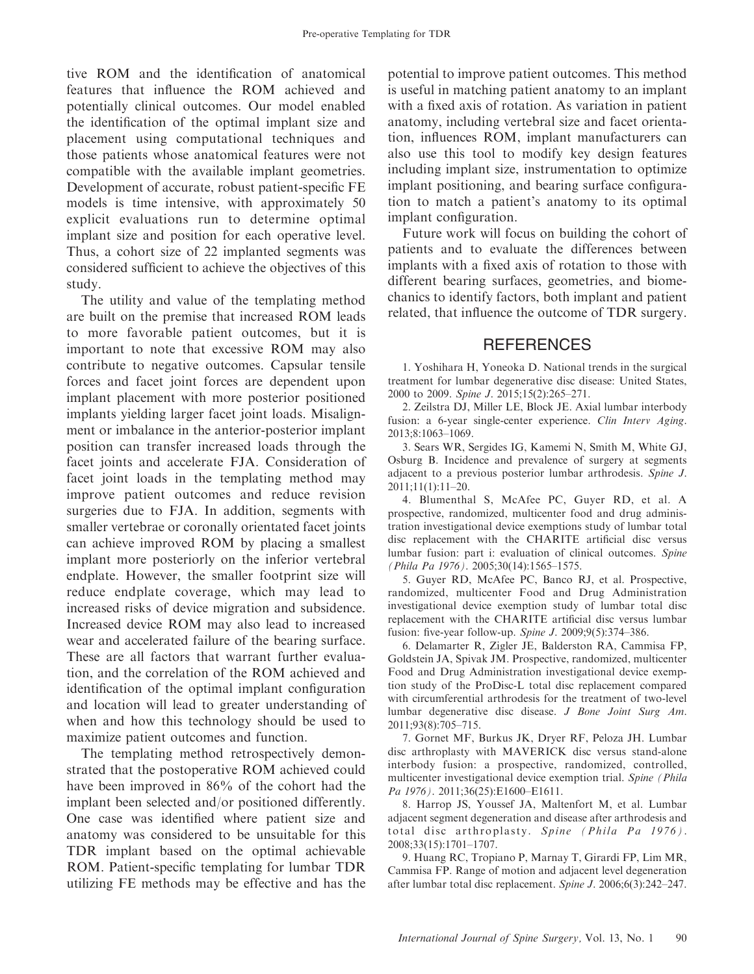tive ROM and the identification of anatomical features that influence the ROM achieved and potentially clinical outcomes. Our model enabled the identification of the optimal implant size and placement using computational techniques and those patients whose anatomical features were not compatible with the available implant geometries. Development of accurate, robust patient-specific FE models is time intensive, with approximately 50 explicit evaluations run to determine optimal implant size and position for each operative level. Thus, a cohort size of 22 implanted segments was considered sufficient to achieve the objectives of this study.

The utility and value of the templating method are built on the premise that increased ROM leads to more favorable patient outcomes, but it is important to note that excessive ROM may also contribute to negative outcomes. Capsular tensile forces and facet joint forces are dependent upon implant placement with more posterior positioned implants yielding larger facet joint loads. Misalignment or imbalance in the anterior-posterior implant position can transfer increased loads through the facet joints and accelerate FJA. Consideration of facet joint loads in the templating method may improve patient outcomes and reduce revision surgeries due to FJA. In addition, segments with smaller vertebrae or coronally orientated facet joints can achieve improved ROM by placing a smallest implant more posteriorly on the inferior vertebral endplate. However, the smaller footprint size will reduce endplate coverage, which may lead to increased risks of device migration and subsidence. Increased device ROM may also lead to increased wear and accelerated failure of the bearing surface. These are all factors that warrant further evaluation, and the correlation of the ROM achieved and identification of the optimal implant configuration and location will lead to greater understanding of when and how this technology should be used to maximize patient outcomes and function.

The templating method retrospectively demonstrated that the postoperative ROM achieved could have been improved in 86% of the cohort had the implant been selected and/or positioned differently. One case was identified where patient size and anatomy was considered to be unsuitable for this TDR implant based on the optimal achievable ROM. Patient-specific templating for lumbar TDR utilizing FE methods may be effective and has the potential to improve patient outcomes. This method is useful in matching patient anatomy to an implant with a fixed axis of rotation. As variation in patient anatomy, including vertebral size and facet orientation, influences ROM, implant manufacturers can also use this tool to modify key design features including implant size, instrumentation to optimize implant positioning, and bearing surface configuration to match a patient's anatomy to its optimal implant configuration.

Future work will focus on building the cohort of patients and to evaluate the differences between implants with a fixed axis of rotation to those with different bearing surfaces, geometries, and biomechanics to identify factors, both implant and patient related, that influence the outcome of TDR surgery.

## **REFERENCES**

1. Yoshihara H, Yoneoka D. National trends in the surgical treatment for lumbar degenerative disc disease: United States, 2000 to 2009. Spine J. 2015;15(2):265–271.

2. Zeilstra DJ, Miller LE, Block JE. Axial lumbar interbody fusion: a 6-year single-center experience. Clin Interv Aging. 2013;8:1063–1069.

3. Sears WR, Sergides IG, Kamemi N, Smith M, White GJ, Osburg B. Incidence and prevalence of surgery at segments adjacent to a previous posterior lumbar arthrodesis. Spine J. 2011;11(1):11–20.

4. Blumenthal S, McAfee PC, Guyer RD, et al. A prospective, randomized, multicenter food and drug administration investigational device exemptions study of lumbar total disc replacement with the CHARITE artificial disc versus lumbar fusion: part i: evaluation of clinical outcomes. Spine (Phila Pa 1976). 2005;30(14):1565–1575.

5. Guyer RD, McAfee PC, Banco RJ, et al. Prospective, randomized, multicenter Food and Drug Administration investigational device exemption study of lumbar total disc replacement with the CHARITE artificial disc versus lumbar fusion: five-year follow-up. Spine J. 2009;9(5):374–386.

6. Delamarter R, Zigler JE, Balderston RA, Cammisa FP, Goldstein JA, Spivak JM. Prospective, randomized, multicenter Food and Drug Administration investigational device exemption study of the ProDisc-L total disc replacement compared with circumferential arthrodesis for the treatment of two-level lumbar degenerative disc disease. J Bone Joint Surg Am. 2011;93(8):705–715.

7. Gornet MF, Burkus JK, Dryer RF, Peloza JH. Lumbar disc arthroplasty with MAVERICK disc versus stand-alone interbody fusion: a prospective, randomized, controlled, multicenter investigational device exemption trial. Spine (Phila Pa 1976). 2011;36(25):E1600-E1611.

8. Harrop JS, Youssef JA, Maltenfort M, et al. Lumbar adjacent segment degeneration and disease after arthrodesis and total disc arthroplasty. Spine (Phila Pa 1976). 2008;33(15):1701–1707.

9. Huang RC, Tropiano P, Marnay T, Girardi FP, Lim MR, Cammisa FP. Range of motion and adjacent level degeneration after lumbar total disc replacement. Spine J. 2006;6(3):242–247.